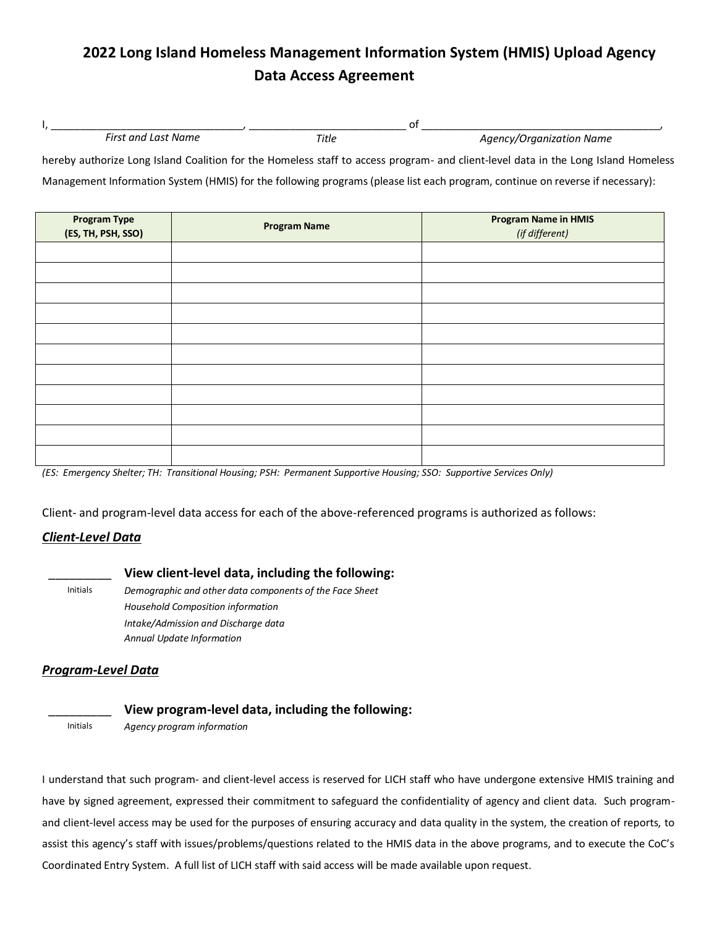# **2022 Long Island Homeless Management Information System (HMIS) Upload Agency Data Access Agreement**

| $- \cdot$<br>First<br>: Name<br>and<br>Tast | litle | Organization Name<br>7777<br><u>ти.</u> |
|---------------------------------------------|-------|-----------------------------------------|

hereby authorize Long Island Coalition for the Homeless staff to access program- and client-level data in the Long Island Homeless Management Information System (HMIS) for the following programs (please list each program, continue on reverse if necessary):

| <b>Program Type</b><br>(ES, TH, PSH, SSO) | <b>Program Name</b> | <b>Program Name in HMIS</b><br>(if different) |
|-------------------------------------------|---------------------|-----------------------------------------------|
|                                           |                     |                                               |
|                                           |                     |                                               |
|                                           |                     |                                               |
|                                           |                     |                                               |
|                                           |                     |                                               |
|                                           |                     |                                               |
|                                           |                     |                                               |
|                                           |                     |                                               |
|                                           |                     |                                               |
|                                           |                     |                                               |
|                                           |                     |                                               |

*(ES: Emergency Shelter; TH: Transitional Housing; PSH: Permanent Supportive Housing; SSO: Supportive Services Only)*

Client- and program-level data access for each of the above-referenced programs is authorized as follows:

#### *Client-Level Data*

#### \_\_\_\_\_\_\_\_\_ **View client-level data, including the following:**

Initials *Demographic and other data components of the Face Sheet Household Composition information Intake/Admission and Discharge data Annual Update Information* 

### *Program-Level Data*

## \_\_\_\_\_\_\_\_\_ **View program-level data, including the following:**

Initials *Agency program information* 

I understand that such program- and client-level access is reserved for LICH staff who have undergone extensive HMIS training and have by signed agreement, expressed their commitment to safeguard the confidentiality of agency and client data. Such programand client-level access may be used for the purposes of ensuring accuracy and data quality in the system, the creation of reports, to assist this agency's staff with issues/problems/questions related to the HMIS data in the above programs, and to execute the CoC's Coordinated Entry System. A full list of LICH staff with said access will be made available upon request.